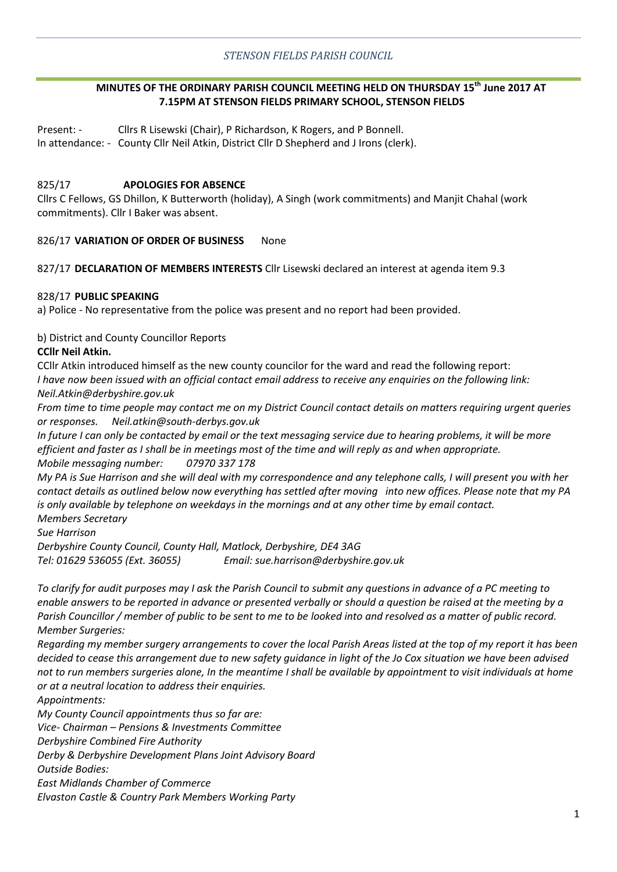# **MINUTES OF THE ORDINARY PARISH COUNCIL MEETING HELD ON THURSDAY 15th June 2017 AT 7.15PM AT STENSON FIELDS PRIMARY SCHOOL, STENSON FIELDS**

Present: - Cllrs R Lisewski (Chair), P Richardson, K Rogers, and P Bonnell. In attendance: - County Cllr Neil Atkin, District Cllr D Shepherd and J Irons (clerk).

## 825/17 **APOLOGIES FOR ABSENCE**

Cllrs C Fellows, GS Dhillon, K Butterworth (holiday), A Singh (work commitments) and Manjit Chahal (work commitments). Cllr I Baker was absent.

### 826/17 **VARIATION OF ORDER OF BUSINESS** None

### 827/17 **DECLARATION OF MEMBERS INTERESTS** Cllr Lisewski declared an interest at agenda item 9.3

### 828/17 **PUBLIC SPEAKING**

a) Police - No representative from the police was present and no report had been provided.

### b) District and County Councillor Reports

### **CCllr Neil Atkin.**

CCllr Atkin introduced himself as the new county councilor for the ward and read the following report: *I have now been issued with an official contact email address to receive any enquiries on the following link: Neil.Atkin@derbyshire.gov.uk*

*From time to time people may contact me on my District Council contact details on matters requiring urgent queries or responses. Neil.atkin@south-derbys.gov.uk*

*In future I can only be contacted by email or the text messaging service due to hearing problems, it will be more efficient and faster as I shall be in meetings most of the time and will reply as and when appropriate. Mobile messaging number: 07970 337 178*

*My PA is Sue Harrison and she will deal with my correspondence and any telephone calls, I will present you with her contact details as outlined below now everything has settled after moving into new offices. Please note that my PA is only available by telephone on weekdays in the mornings and at any other time by email contact. Members Secretary*

*Sue Harrison*

*Derbyshire County Council, County Hall, Matlock, Derbyshire, DE4 3AG Tel: 01629 536055 (Ext. 36055) Email: sue.harrison@derbyshire.gov.uk*

*To clarify for audit purposes may I ask the Parish Council to submit any questions in advance of a PC meeting to enable answers to be reported in advance or presented verbally or should a question be raised at the meeting by a Parish Councillor / member of public to be sent to me to be looked into and resolved as a matter of public record. Member Surgeries:*

*Regarding my member surgery arrangements to cover the local Parish Areas listed at the top of my report it has been decided to cease this arrangement due to new safety guidance in light of the Jo Cox situation we have been advised not to run members surgeries alone, In the meantime I shall be available by appointment to visit individuals at home or at a neutral location to address their enquiries.*

*Appointments:*

*My County Council appointments thus so far are:*

*Vice- Chairman – Pensions & Investments Committee*

*Derbyshire Combined Fire Authority*

*Derby & Derbyshire Development Plans Joint Advisory Board*

*Outside Bodies:*

*East Midlands Chamber of Commerce*

*Elvaston Castle & Country Park Members Working Party*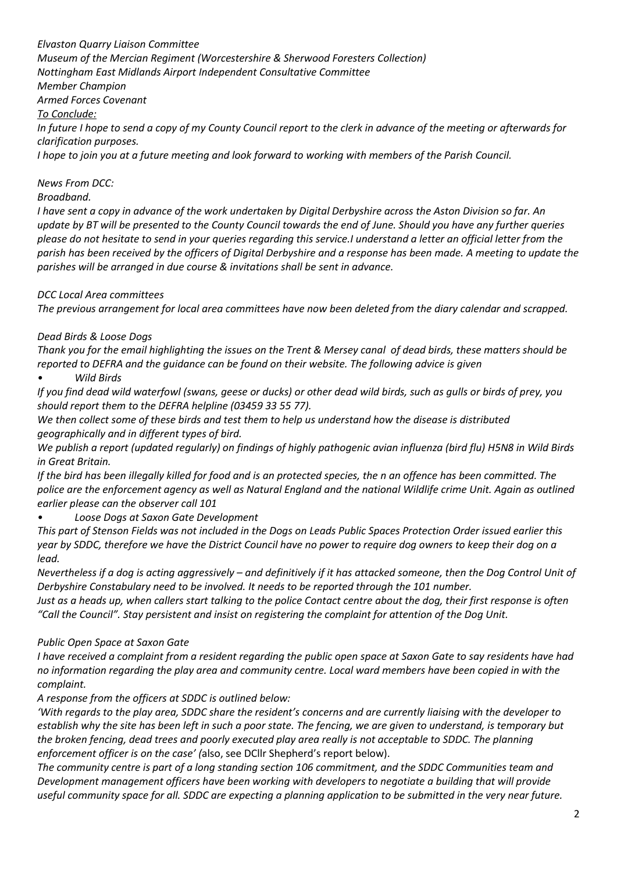*Elvaston Quarry Liaison Committee Museum of the Mercian Regiment (Worcestershire & Sherwood Foresters Collection) Nottingham East Midlands Airport Independent Consultative Committee Member Champion Armed Forces Covenant To Conclude: In future I hope to send a copy of my County Council report to the clerk in advance of the meeting or afterwards for clarification purposes. I hope to join you at a future meeting and look forward to working with members of the Parish Council.*

*News From DCC:*

# *Broadband.*

*I have sent a copy in advance of the work undertaken by Digital Derbyshire across the Aston Division so far. An update by BT will be presented to the County Council towards the end of June. Should you have any further queries please do not hesitate to send in your queries regarding this service.I understand a letter an official letter from the parish has been received by the officers of Digital Derbyshire and a response has been made. A meeting to update the parishes will be arranged in due course & invitations shall be sent in advance.*

*DCC Local Area committees*

*The previous arrangement for local area committees have now been deleted from the diary calendar and scrapped.*

# *Dead Birds & Loose Dogs*

*Thank you for the email highlighting the issues on the Trent & Mersey canal of dead birds, these matters should be reported to DEFRA and the guidance can be found on their website. The following advice is given*

*• Wild Birds*

*If you find dead wild waterfowl (swans, geese or ducks) or other dead wild birds, such as gulls or birds of prey, you should report them to the DEFRA helpline (03459 33 55 77).*

*We then collect some of these birds and test them to help us understand how the disease is distributed geographically and in different types of bird.*

*We publish a report (updated regularly) on findings of highly pathogenic avian influenza (bird flu) H5N8 in Wild Birds in Great Britain.*

*If the bird has been illegally killed for food and is an protected species, the n an offence has been committed. The*  police are the enforcement agency as well as Natural England and the national Wildlife crime Unit. Again as outlined *earlier please can the observer call 101*

*• Loose Dogs at Saxon Gate Development*

*This part of Stenson Fields was not included in the Dogs on Leads Public Spaces Protection Order issued earlier this year by SDDC, therefore we have the District Council have no power to require dog owners to keep their dog on a lead.*

*Nevertheless if a dog is acting aggressively – and definitively if it has attacked someone, then the Dog Control Unit of Derbyshire Constabulary need to be involved. It needs to be reported through the 101 number.* 

*Just as a heads up, when callers start talking to the police Contact centre about the dog, their first response is often "Call the Council". Stay persistent and insist on registering the complaint for attention of the Dog Unit.*

## *Public Open Space at Saxon Gate*

*I have received a complaint from a resident regarding the public open space at Saxon Gate to say residents have had no information regarding the play area and community centre. Local ward members have been copied in with the complaint.*

*A response from the officers at SDDC is outlined below:*

*'With regards to the play area, SDDC share the resident's concerns and are currently liaising with the developer to establish why the site has been left in such a poor state. The fencing, we are given to understand, is temporary but the broken fencing, dead trees and poorly executed play area really is not acceptable to SDDC. The planning enforcement officer is on the case' (*also, see DCllr Shepherd's report below).

*The community centre is part of a long standing section 106 commitment, and the SDDC Communities team and Development management officers have been working with developers to negotiate a building that will provide useful community space for all. SDDC are expecting a planning application to be submitted in the very near future.*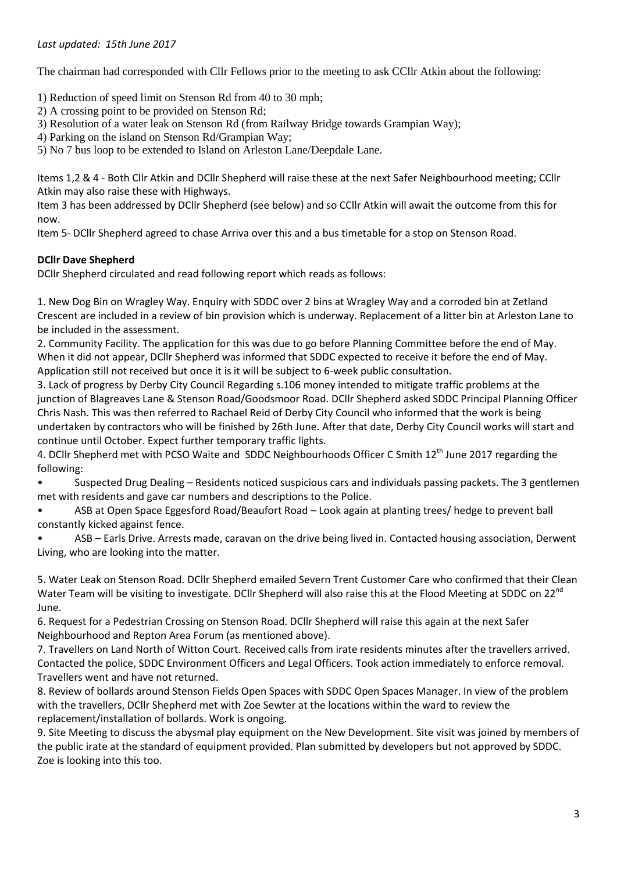The chairman had corresponded with Cllr Fellows prior to the meeting to ask CCllr Atkin about the following:

1) Reduction of speed limit on Stenson Rd from 40 to 30 mph;

- 2) A crossing point to be provided on Stenson Rd;
- 3) Resolution of a water leak on Stenson Rd (from Railway Bridge towards Grampian Way);
- 4) Parking on the island on Stenson Rd/Grampian Way;

5) No 7 bus loop to be extended to Island on Arleston Lane/Deepdale Lane.

Items 1,2 & 4 - Both Cllr Atkin and DCllr Shepherd will raise these at the next Safer Neighbourhood meeting; CCllr Atkin may also raise these with Highways.

Item 3 has been addressed by DCllr Shepherd (see below) and so CCllr Atkin will await the outcome from this for now.

Item 5- DCllr Shepherd agreed to chase Arriva over this and a bus timetable for a stop on Stenson Road.

### **DCllr Dave Shepherd**

DCllr Shepherd circulated and read following report which reads as follows:

1. New Dog Bin on Wragley Way. Enquiry with SDDC over 2 bins at Wragley Way and a corroded bin at Zetland Crescent are included in a review of bin provision which is underway. Replacement of a litter bin at Arleston Lane to be included in the assessment.

2. Community Facility. The application for this was due to go before Planning Committee before the end of May. When it did not appear, DCllr Shepherd was informed that SDDC expected to receive it before the end of May. Application still not received but once it is it will be subject to 6-week public consultation.

3. Lack of progress by Derby City Council Regarding s.106 money intended to mitigate traffic problems at the junction of Blagreaves Lane & Stenson Road/Goodsmoor Road. DCllr Shepherd asked SDDC Principal Planning Officer Chris Nash. This was then referred to Rachael Reid of Derby City Council who informed that the work is being undertaken by contractors who will be finished by 26th June. After that date, Derby City Council works will start and continue until October. Expect further temporary traffic lights.

4. DCllr Shepherd met with PCSO Waite and SDDC Neighbourhoods Officer C Smith 12<sup>th</sup> June 2017 regarding the following:

• Suspected Drug Dealing – Residents noticed suspicious cars and individuals passing packets. The 3 gentlemen met with residents and gave car numbers and descriptions to the Police.

• ASB at Open Space Eggesford Road/Beaufort Road – Look again at planting trees/ hedge to prevent ball constantly kicked against fence.

• ASB – Earls Drive. Arrests made, caravan on the drive being lived in. Contacted housing association, Derwent Living, who are looking into the matter.

5. Water Leak on Stenson Road. DCllr Shepherd emailed Severn Trent Customer Care who confirmed that their Clean Water Team will be visiting to investigate. DCllr Shepherd will also raise this at the Flood Meeting at SDDC on 22<sup>nd</sup> June.

6. Request for a Pedestrian Crossing on Stenson Road. DCllr Shepherd will raise this again at the next Safer Neighbourhood and Repton Area Forum (as mentioned above).

7. Travellers on Land North of Witton Court. Received calls from irate residents minutes after the travellers arrived. Contacted the police, SDDC Environment Officers and Legal Officers. Took action immediately to enforce removal. Travellers went and have not returned.

8. Review of bollards around Stenson Fields Open Spaces with SDDC Open Spaces Manager. In view of the problem with the travellers, DCllr Shepherd met with Zoe Sewter at the locations within the ward to review the replacement/installation of bollards. Work is ongoing.

9. Site Meeting to discuss the abysmal play equipment on the New Development. Site visit was joined by members of the public irate at the standard of equipment provided. Plan submitted by developers but not approved by SDDC. Zoe is looking into this too.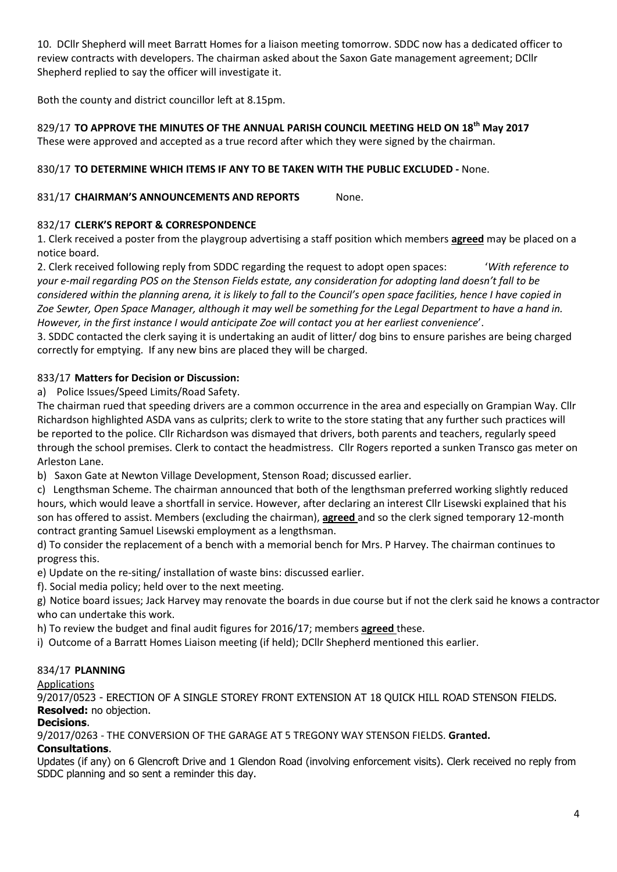10. DCllr Shepherd will meet Barratt Homes for a liaison meeting tomorrow. SDDC now has a dedicated officer to review contracts with developers. The chairman asked about the Saxon Gate management agreement; DCllr Shepherd replied to say the officer will investigate it.

Both the county and district councillor left at 8.15pm.

## 829/17 **TO APPROVE THE MINUTES OF THE ANNUAL PARISH COUNCIL MEETING HELD ON 18th May 2017** These were approved and accepted as a true record after which they were signed by the chairman.

# 830/17 **TO DETERMINE WHICH ITEMS IF ANY TO BE TAKEN WITH THE PUBLIC EXCLUDED -** None.

# 831/17 **CHAIRMAN'S ANNOUNCEMENTS AND REPORTS** None.

# 832/17 **CLERK'S REPORT & CORRESPONDENCE**

1. Clerk received a poster from the playgroup advertising a staff position which members **agreed** may be placed on a notice board.

2. Clerk received following reply from SDDC regarding the request to adopt open spaces: '*With reference to your e-mail regarding POS on the Stenson Fields estate, any consideration for adopting land doesn't fall to be considered within the planning arena, it is likely to fall to the Council's open space facilities, hence I have copied in Zoe Sewter, Open Space Manager, although it may well be something for the Legal Department to have a hand in. However, in the first instance I would anticipate Zoe will contact you at her earliest convenience*'.

3. SDDC contacted the clerk saying it is undertaking an audit of litter/ dog bins to ensure parishes are being charged correctly for emptying. If any new bins are placed they will be charged.

## 833/17 **Matters for Decision or Discussion:**

a) Police Issues/Speed Limits/Road Safety.

The chairman rued that speeding drivers are a common occurrence in the area and especially on Grampian Way. Cllr Richardson highlighted ASDA vans as culprits; clerk to write to the store stating that any further such practices will be reported to the police. Cllr Richardson was dismayed that drivers, both parents and teachers, regularly speed through the school premises. Clerk to contact the headmistress. Cllr Rogers reported a sunken Transco gas meter on Arleston Lane.

b) Saxon Gate at Newton Village Development, Stenson Road; discussed earlier.

c) Lengthsman Scheme. The chairman announced that both of the lengthsman preferred working slightly reduced hours, which would leave a shortfall in service. However, after declaring an interest Cllr Lisewski explained that his son has offered to assist. Members (excluding the chairman), **agreed** and so the clerk signed temporary 12-month contract granting Samuel Lisewski employment as a lengthsman.

d) To consider the replacement of a bench with a memorial bench for Mrs. P Harvey. The chairman continues to progress this.

e) Update on the re-siting/ installation of waste bins: discussed earlier.

f). Social media policy; held over to the next meeting.

g) Notice board issues; Jack Harvey may renovate the boards in due course but if not the clerk said he knows a contractor who can undertake this work.

h) To review the budget and final audit figures for 2016/17; members **agreed** these.

i) Outcome of a Barratt Homes Liaison meeting (if held); DCllr Shepherd mentioned this earlier.

## 834/17 **PLANNING**

Applications

9/2017/0523 - ERECTION OF A SINGLE STOREY FRONT EXTENSION AT 18 QUICK HILL ROAD STENSON FIELDS. **Resolved:** no objection.

#### **Decisions**.

9/2017/0263 - THE CONVERSION OF THE GARAGE AT 5 TREGONY WAY STENSON FIELDS. **Granted.**

## **Consultations**.

Updates (if any) on 6 Glencroft Drive and 1 Glendon Road (involving enforcement visits). Clerk received no reply from SDDC planning and so sent a reminder this day.